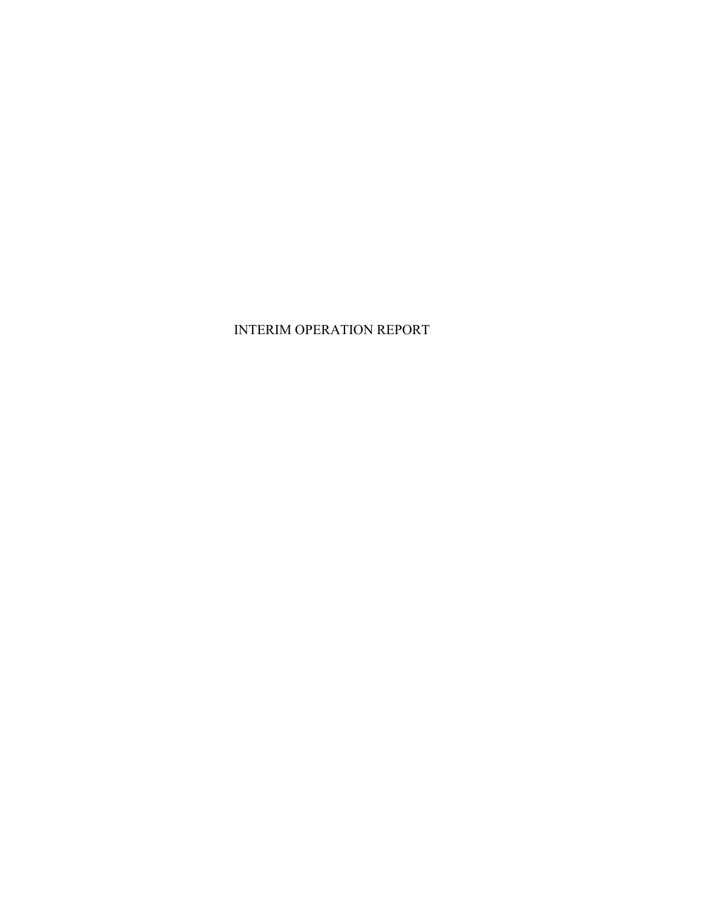## INTERIM OPERATION REPORT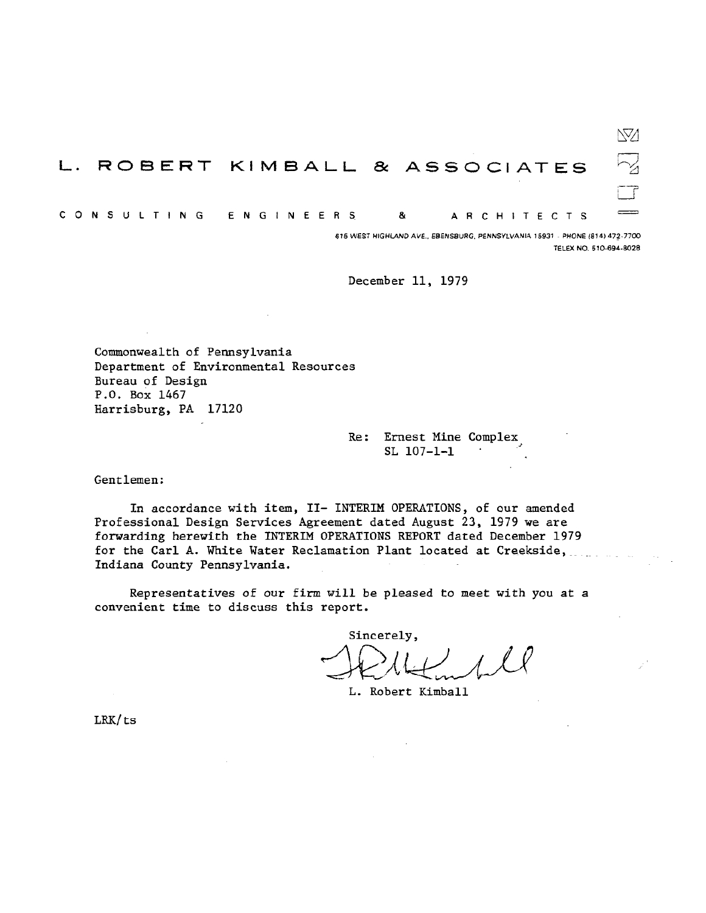ÑЙ L. ROBERT KIMBALL & ASSOCIATES C O N S U L T I N G **ENGINEERS** 8 A R C H I T E C T S

> 615 WEST HIGHLAND AVE., EBENSBURG, PENNSYLVANIA 15931 - PHONE (814) 472-7700 TELEX NO. 510-694-8028

December 11, 1979

Commonwealth of Pennsylvania Department of Environmental Resources Bureau of Design P.O. Box 1467 Harrisburg, PA 17120

> Re: Ernest Mine Complex  $SL$  107-1-1

Gentlemen:

In accordance with item, II- INTERIM OPERATIONS, of our amended Professional Design Services Agreement dated August 23, 1979 we are forwarding herewith the INTERIM OPERATIONS REPORT dated December 1979 for the Carl A. White Water Reclamation Plant located at Creekside, Indiana County Pennsylvania.

Representatives of our firm will be pleased to meet with you at a convenient time to discuss this report.

Sincerely,

L. Robert Kimball

LRK/ts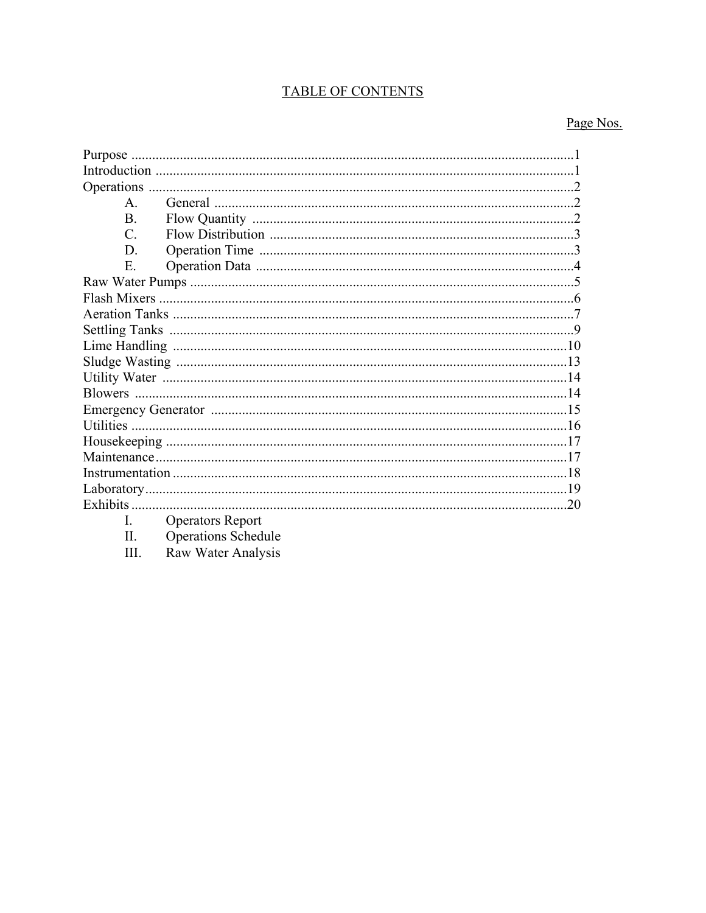# TABLE OF CONTENTS

# Page Nos.

| Purpose       |                         |    |
|---------------|-------------------------|----|
|               |                         |    |
|               |                         |    |
| $\mathsf{A}$  |                         |    |
| $\mathbf{B}$  |                         |    |
| $\mathcal{C}$ |                         |    |
| D             |                         |    |
| E.            |                         |    |
|               |                         |    |
|               |                         |    |
|               |                         |    |
|               |                         |    |
|               |                         |    |
|               |                         |    |
|               |                         |    |
|               |                         |    |
|               |                         |    |
|               |                         |    |
|               |                         |    |
|               |                         |    |
|               |                         |    |
|               |                         |    |
|               |                         | 20 |
|               | <b>Operators Report</b> |    |

 $\overline{\text{II}}$ .

Operations Schedule<br>Raw Water Analysis  $III.$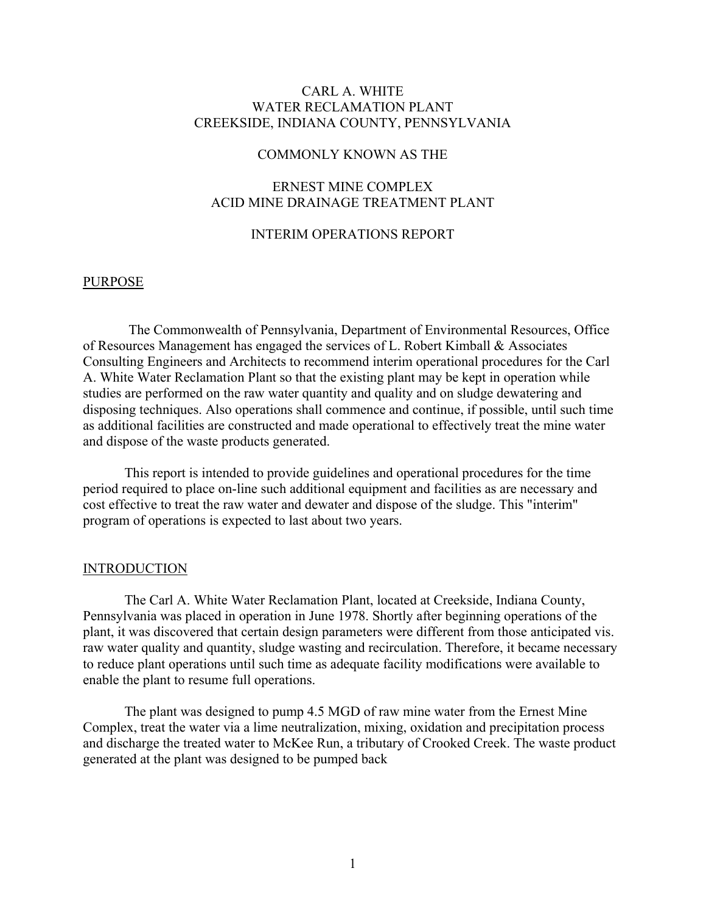## CARL A. WHITE WATER RECLAMATION PLANT CREEKSIDE, INDIANA COUNTY, PENNSYLVANIA

## COMMONLY KNOWN AS THE

## ERNEST MINE COMPLEX ACID MINE DRAINAGE TREATMENT PLANT

#### INTERIM OPERATIONS REPORT

#### PURPOSE

The Commonwealth of Pennsylvania, Department of Environmental Resources, Office of Resources Management has engaged the services of L. Robert Kimball & Associates Consulting Engineers and Architects to recommend interim operational procedures for the Carl A. White Water Reclamation Plant so that the existing plant may be kept in operation while studies are performed on the raw water quantity and quality and on sludge dewatering and disposing techniques. Also operations shall commence and continue, if possible, until such time as additional facilities are constructed and made operational to effectively treat the mine water and dispose of the waste products generated.

This report is intended to provide guidelines and operational procedures for the time period required to place on-line such additional equipment and facilities as are necessary and cost effective to treat the raw water and dewater and dispose of the sludge. This "interim" program of operations is expected to last about two years.

#### INTRODUCTION

The Carl A. White Water Reclamation Plant, located at Creekside, Indiana County, Pennsylvania was placed in operation in June 1978. Shortly after beginning operations of the plant, it was discovered that certain design parameters were different from those anticipated vis. raw water quality and quantity, sludge wasting and recirculation. Therefore, it became necessary to reduce plant operations until such time as adequate facility modifications were available to enable the plant to resume full operations.

The plant was designed to pump 4.5 MGD of raw mine water from the Ernest Mine Complex, treat the water via a lime neutralization, mixing, oxidation and precipitation process and discharge the treated water to McKee Run, a tributary of Crooked Creek. The waste product generated at the plant was designed to be pumped back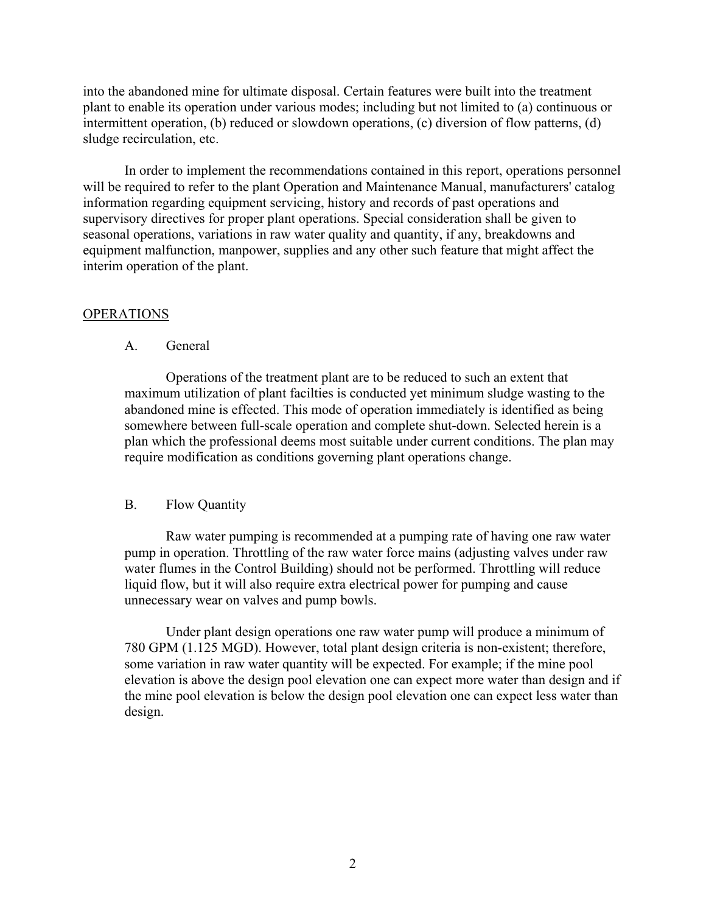into the abandoned mine for ultimate disposal. Certain features were built into the treatment plant to enable its operation under various modes; including but not limited to (a) continuous or intermittent operation, (b) reduced or slowdown operations, (c) diversion of flow patterns, (d) sludge recirculation, etc.

In order to implement the recommendations contained in this report, operations personnel will be required to refer to the plant Operation and Maintenance Manual, manufacturers' catalog information regarding equipment servicing, history and records of past operations and supervisory directives for proper plant operations. Special consideration shall be given to seasonal operations, variations in raw water quality and quantity, if any, breakdowns and equipment malfunction, manpower, supplies and any other such feature that might affect the interim operation of the plant.

#### **OPERATIONS**

## A. General

Operations of the treatment plant are to be reduced to such an extent that maximum utilization of plant facilties is conducted yet minimum sludge wasting to the abandoned mine is effected. This mode of operation immediately is identified as being somewhere between full-scale operation and complete shut-down. Selected herein is a plan which the professional deems most suitable under current conditions. The plan may require modification as conditions governing plant operations change.

## B. Flow Quantity

Raw water pumping is recommended at a pumping rate of having one raw water pump in operation. Throttling of the raw water force mains (adjusting valves under raw water flumes in the Control Building) should not be performed. Throttling will reduce liquid flow, but it will also require extra electrical power for pumping and cause unnecessary wear on valves and pump bowls.

Under plant design operations one raw water pump will produce a minimum of 780 GPM (1.125 MGD). However, total plant design criteria is non-existent; therefore, some variation in raw water quantity will be expected. For example; if the mine pool elevation is above the design pool elevation one can expect more water than design and if the mine pool elevation is below the design pool elevation one can expect less water than design.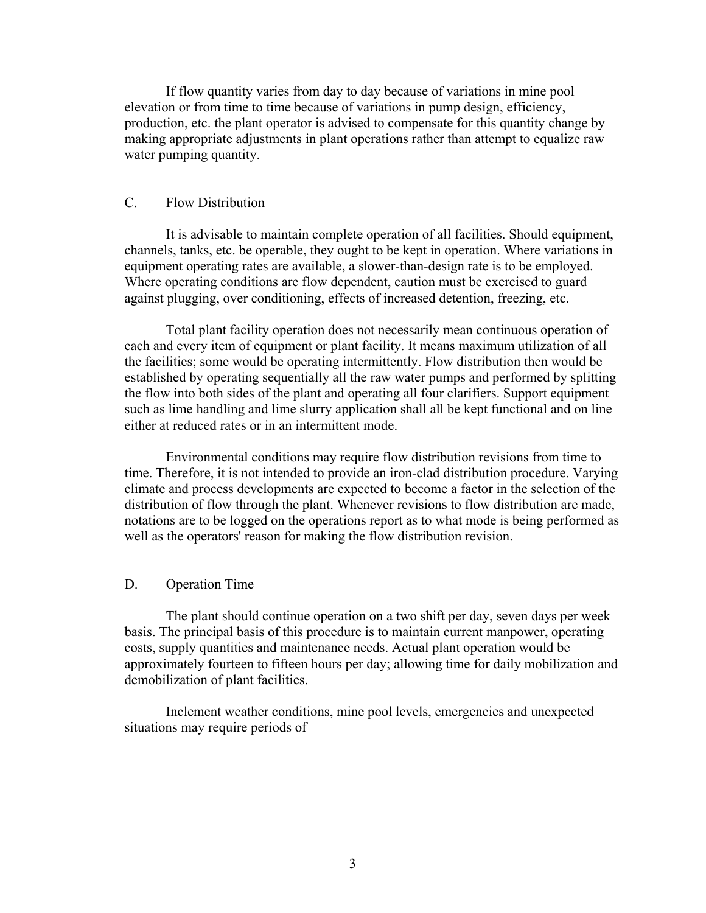If flow quantity varies from day to day because of variations in mine pool elevation or from time to time because of variations in pump design, efficiency, production, etc. the plant operator is advised to compensate for this quantity change by making appropriate adjustments in plant operations rather than attempt to equalize raw water pumping quantity.

## C. Flow Distribution

It is advisable to maintain complete operation of all facilities. Should equipment, channels, tanks, etc. be operable, they ought to be kept in operation. Where variations in equipment operating rates are available, a slower-than-design rate is to be employed. Where operating conditions are flow dependent, caution must be exercised to guard against plugging, over conditioning, effects of increased detention, freezing, etc.

Total plant facility operation does not necessarily mean continuous operation of each and every item of equipment or plant facility. It means maximum utilization of all the facilities; some would be operating intermittently. Flow distribution then would be established by operating sequentially all the raw water pumps and performed by splitting the flow into both sides of the plant and operating all four clarifiers. Support equipment such as lime handling and lime slurry application shall all be kept functional and on line either at reduced rates or in an intermittent mode.

Environmental conditions may require flow distribution revisions from time to time. Therefore, it is not intended to provide an iron-clad distribution procedure. Varying climate and process developments are expected to become a factor in the selection of the distribution of flow through the plant. Whenever revisions to flow distribution are made, notations are to be logged on the operations report as to what mode is being performed as well as the operators' reason for making the flow distribution revision.

### D. Operation Time

The plant should continue operation on a two shift per day, seven days per week basis. The principal basis of this procedure is to maintain current manpower, operating costs, supply quantities and maintenance needs. Actual plant operation would be approximately fourteen to fifteen hours per day; allowing time for daily mobilization and demobilization of plant facilities.

Inclement weather conditions, mine pool levels, emergencies and unexpected situations may require periods of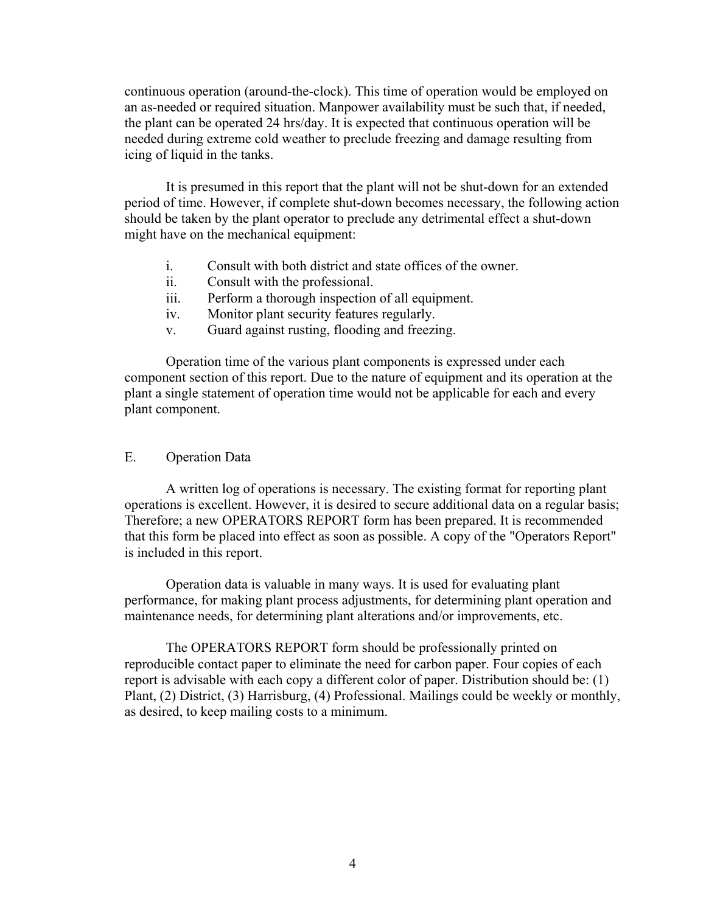continuous operation (around-the-clock). This time of operation would be employed on an as-needed or required situation. Manpower availability must be such that, if needed, the plant can be operated 24 hrs/day. It is expected that continuous operation will be needed during extreme cold weather to preclude freezing and damage resulting from icing of liquid in the tanks.

It is presumed in this report that the plant will not be shut-down for an extended period of time. However, if complete shut-down becomes necessary, the following action should be taken by the plant operator to preclude any detrimental effect a shut-down might have on the mechanical equipment:

- i. Consult with both district and state offices of the owner.
- ii. Consult with the professional.
- iii. Perform a thorough inspection of all equipment.
- iv. Monitor plant security features regularly.
- v. Guard against rusting, flooding and freezing.

Operation time of the various plant components is expressed under each component section of this report. Due to the nature of equipment and its operation at the plant a single statement of operation time would not be applicable for each and every plant component.

## E. Operation Data

A written log of operations is necessary. The existing format for reporting plant operations is excellent. However, it is desired to secure additional data on a regular basis; Therefore; a new OPERATORS REPORT form has been prepared. It is recommended that this form be placed into effect as soon as possible. A copy of the "Operators Report" is included in this report.

Operation data is valuable in many ways. It is used for evaluating plant performance, for making plant process adjustments, for determining plant operation and maintenance needs, for determining plant alterations and/or improvements, etc.

The OPERATORS REPORT form should be professionally printed on reproducible contact paper to eliminate the need for carbon paper. Four copies of each report is advisable with each copy a different color of paper. Distribution should be: (1) Plant, (2) District, (3) Harrisburg, (4) Professional. Mailings could be weekly or monthly, as desired, to keep mailing costs to a minimum.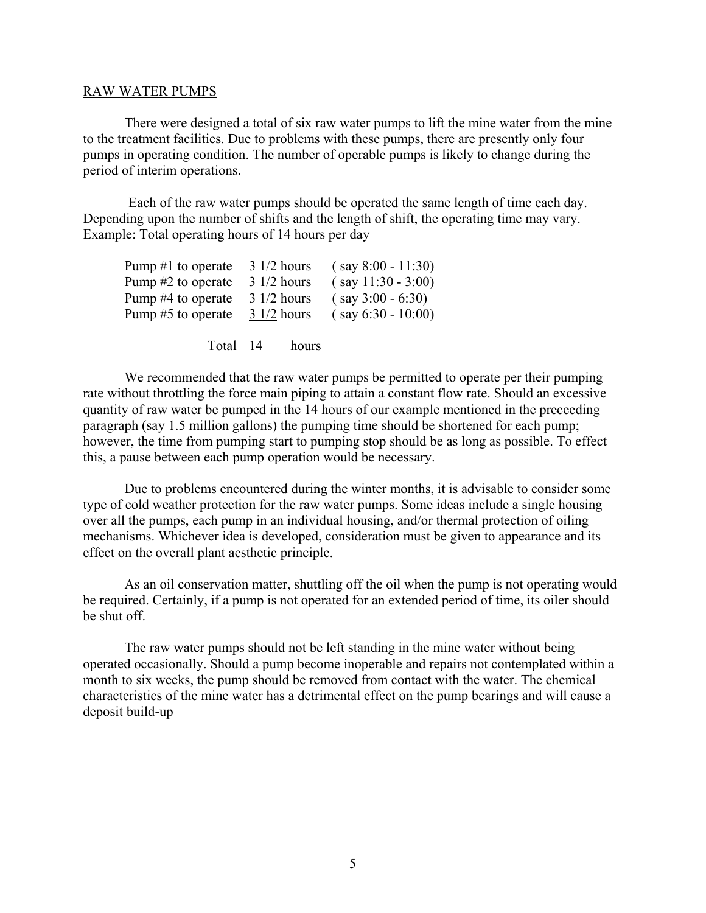#### RAW WATER PUMPS

There were designed a total of six raw water pumps to lift the mine water from the mine to the treatment facilities. Due to problems with these pumps, there are presently only four pumps in operating condition. The number of operable pumps is likely to change during the period of interim operations.

Each of the raw water pumps should be operated the same length of time each day. Depending upon the number of shifts and the length of shift, the operating time may vary. Example: Total operating hours of 14 hours per day

| Pump $#1$ to operate |                       | $3 \frac{1}{2}$ hours | $(say 8:00 - 11:30)$ |
|----------------------|-----------------------|-----------------------|----------------------|
| Pump #2 to operate   | $31/2$ hours          |                       | $(say 11:30 - 3:00)$ |
| Pump #4 to operate   | $31/2$ hours          |                       | $(say 3:00 - 6:30)$  |
| Pump #5 to operate   | $3 \frac{1}{2}$ hours |                       | $(say 6:30 - 10:00)$ |
|                      |                       |                       |                      |
| Total 14             |                       | hours                 |                      |

We recommended that the raw water pumps be permitted to operate per their pumping rate without throttling the force main piping to attain a constant flow rate. Should an excessive quantity of raw water be pumped in the 14 hours of our example mentioned in the preceeding paragraph (say 1.5 million gallons) the pumping time should be shortened for each pump; however, the time from pumping start to pumping stop should be as long as possible. To effect this, a pause between each pump operation would be necessary.

Due to problems encountered during the winter months, it is advisable to consider some type of cold weather protection for the raw water pumps. Some ideas include a single housing over all the pumps, each pump in an individual housing, and/or thermal protection of oiling mechanisms. Whichever idea is developed, consideration must be given to appearance and its effect on the overall plant aesthetic principle.

As an oil conservation matter, shuttling off the oil when the pump is not operating would be required. Certainly, if a pump is not operated for an extended period of time, its oiler should be shut off.

The raw water pumps should not be left standing in the mine water without being operated occasionally. Should a pump become inoperable and repairs not contemplated within a month to six weeks, the pump should be removed from contact with the water. The chemical characteristics of the mine water has a detrimental effect on the pump bearings and will cause a deposit build-up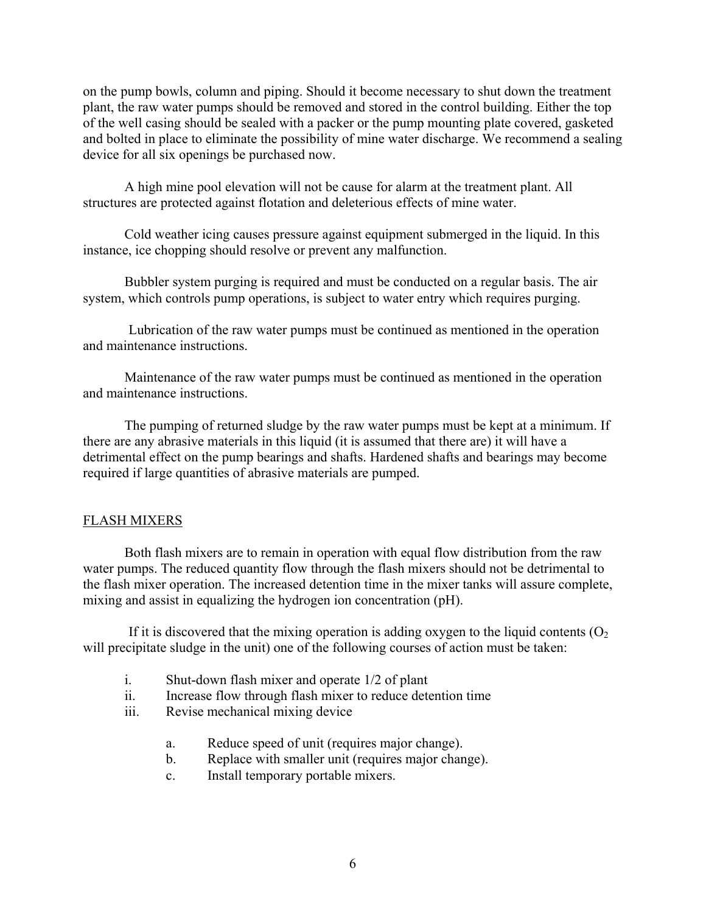on the pump bowls, column and piping. Should it become necessary to shut down the treatment plant, the raw water pumps should be removed and stored in the control building. Either the top of the well casing should be sealed with a packer or the pump mounting plate covered, gasketed and bolted in place to eliminate the possibility of mine water discharge. We recommend a sealing device for all six openings be purchased now.

A high mine pool elevation will not be cause for alarm at the treatment plant. All structures are protected against flotation and deleterious effects of mine water.

Cold weather icing causes pressure against equipment submerged in the liquid. In this instance, ice chopping should resolve or prevent any malfunction.

Bubbler system purging is required and must be conducted on a regular basis. The air system, which controls pump operations, is subject to water entry which requires purging.

Lubrication of the raw water pumps must be continued as mentioned in the operation and maintenance instructions.

Maintenance of the raw water pumps must be continued as mentioned in the operation and maintenance instructions.

The pumping of returned sludge by the raw water pumps must be kept at a minimum. If there are any abrasive materials in this liquid (it is assumed that there are) it will have a detrimental effect on the pump bearings and shafts. Hardened shafts and bearings may become required if large quantities of abrasive materials are pumped.

## FLASH MIXERS

Both flash mixers are to remain in operation with equal flow distribution from the raw water pumps. The reduced quantity flow through the flash mixers should not be detrimental to the flash mixer operation. The increased detention time in the mixer tanks will assure complete, mixing and assist in equalizing the hydrogen ion concentration (pH).

If it is discovered that the mixing operation is adding oxygen to the liquid contents  $(O<sub>2</sub>)$ will precipitate sludge in the unit) one of the following courses of action must be taken:

- i. Shut-down flash mixer and operate 1/2 of plant
- ii. Increase flow through flash mixer to reduce detention time
- iii. Revise mechanical mixing device
	- a. Reduce speed of unit (requires major change).
	- b. Replace with smaller unit (requires major change).
	- c. Install temporary portable mixers.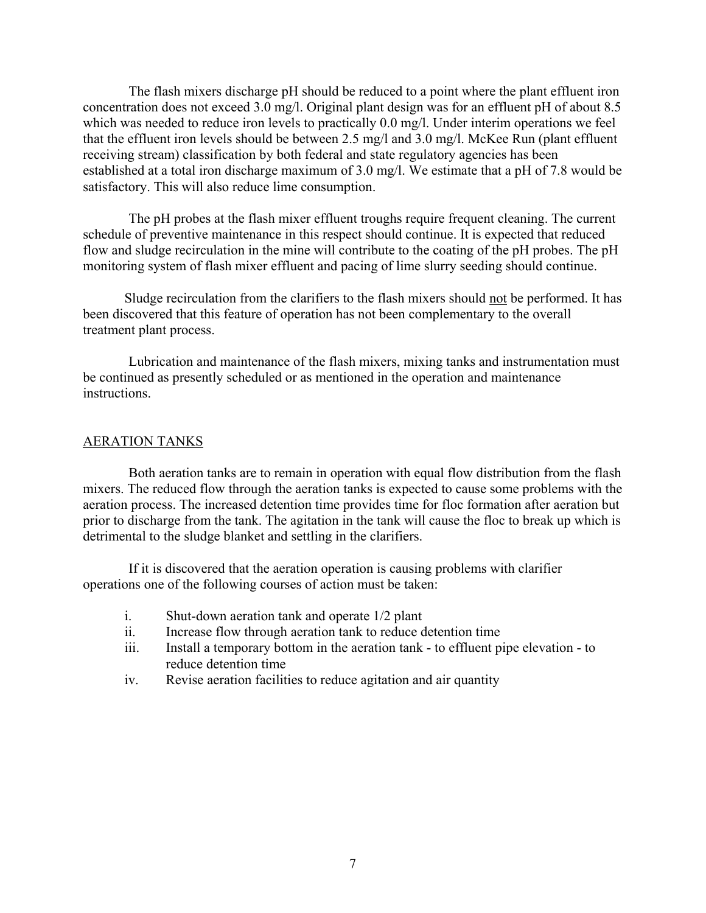The flash mixers discharge pH should be reduced to a point where the plant effluent iron concentration does not exceed 3.0 mg/l. Original plant design was for an effluent pH of about 8.5 which was needed to reduce iron levels to practically 0.0 mg/l. Under interim operations we feel that the effluent iron levels should be between 2.5 mg/l and 3.0 mg/l. McKee Run (plant effluent receiving stream) classification by both federal and state regulatory agencies has been established at a total iron discharge maximum of 3.0 mg/l. We estimate that a pH of 7.8 would be satisfactory. This will also reduce lime consumption.

The pH probes at the flash mixer effluent troughs require frequent cleaning. The current schedule of preventive maintenance in this respect should continue. It is expected that reduced flow and sludge recirculation in the mine will contribute to the coating of the pH probes. The pH monitoring system of flash mixer effluent and pacing of lime slurry seeding should continue.

Sludge recirculation from the clarifiers to the flash mixers should not be performed. It has been discovered that this feature of operation has not been complementary to the overall treatment plant process.

Lubrication and maintenance of the flash mixers, mixing tanks and instrumentation must be continued as presently scheduled or as mentioned in the operation and maintenance instructions.

#### AERATION TANKS

Both aeration tanks are to remain in operation with equal flow distribution from the flash mixers. The reduced flow through the aeration tanks is expected to cause some problems with the aeration process. The increased detention time provides time for floc formation after aeration but prior to discharge from the tank. The agitation in the tank will cause the floc to break up which is detrimental to the sludge blanket and settling in the clarifiers.

If it is discovered that the aeration operation is causing problems with clarifier operations one of the following courses of action must be taken:

- i. Shut-down aeration tank and operate 1/2 plant
- ii. Increase flow through aeration tank to reduce detention time
- iii. Install a temporary bottom in the aeration tank to effluent pipe elevation to reduce detention time
- iv. Revise aeration facilities to reduce agitation and air quantity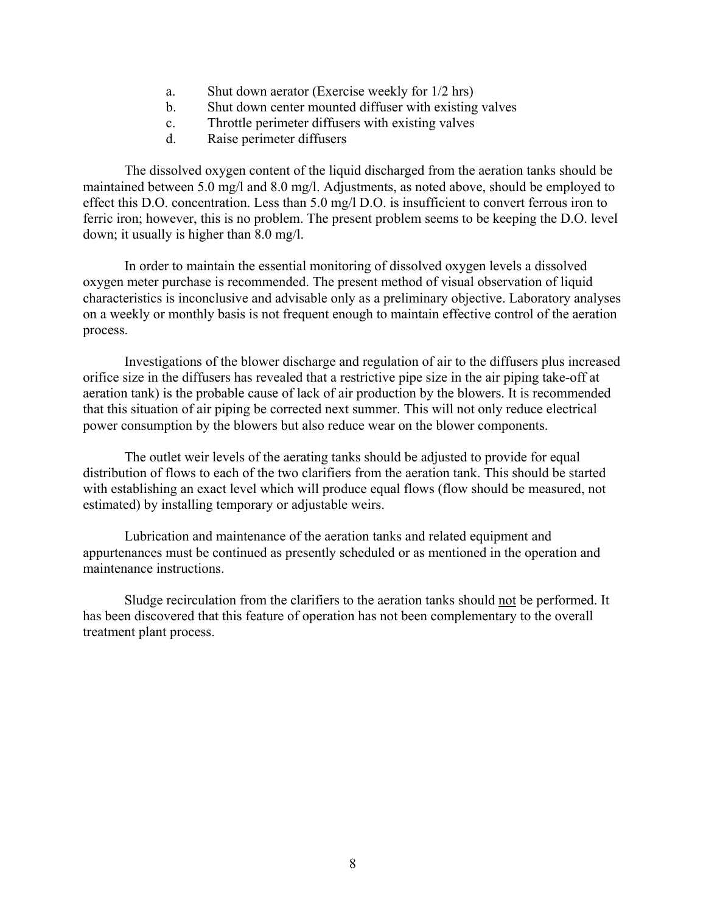- a. Shut down aerator (Exercise weekly for 1/2 hrs)
- b. Shut down center mounted diffuser with existing valves
- c. Throttle perimeter diffusers with existing valves
- d. Raise perimeter diffusers

The dissolved oxygen content of the liquid discharged from the aeration tanks should be maintained between 5.0 mg/l and 8.0 mg/l. Adjustments, as noted above, should be employed to effect this D.O. concentration. Less than 5.0 mg/l D.O. is insufficient to convert ferrous iron to ferric iron; however, this is no problem. The present problem seems to be keeping the D.O. level down; it usually is higher than 8.0 mg/l.

In order to maintain the essential monitoring of dissolved oxygen levels a dissolved oxygen meter purchase is recommended. The present method of visual observation of liquid characteristics is inconclusive and advisable only as a preliminary objective. Laboratory analyses on a weekly or monthly basis is not frequent enough to maintain effective control of the aeration process.

Investigations of the blower discharge and regulation of air to the diffusers plus increased orifice size in the diffusers has revealed that a restrictive pipe size in the air piping take-off at aeration tank) is the probable cause of lack of air production by the blowers. It is recommended that this situation of air piping be corrected next summer. This will not only reduce electrical power consumption by the blowers but also reduce wear on the blower components.

The outlet weir levels of the aerating tanks should be adjusted to provide for equal distribution of flows to each of the two clarifiers from the aeration tank. This should be started with establishing an exact level which will produce equal flows (flow should be measured, not estimated) by installing temporary or adjustable weirs.

Lubrication and maintenance of the aeration tanks and related equipment and appurtenances must be continued as presently scheduled or as mentioned in the operation and maintenance instructions.

Sludge recirculation from the clarifiers to the aeration tanks should not be performed. It has been discovered that this feature of operation has not been complementary to the overall treatment plant process.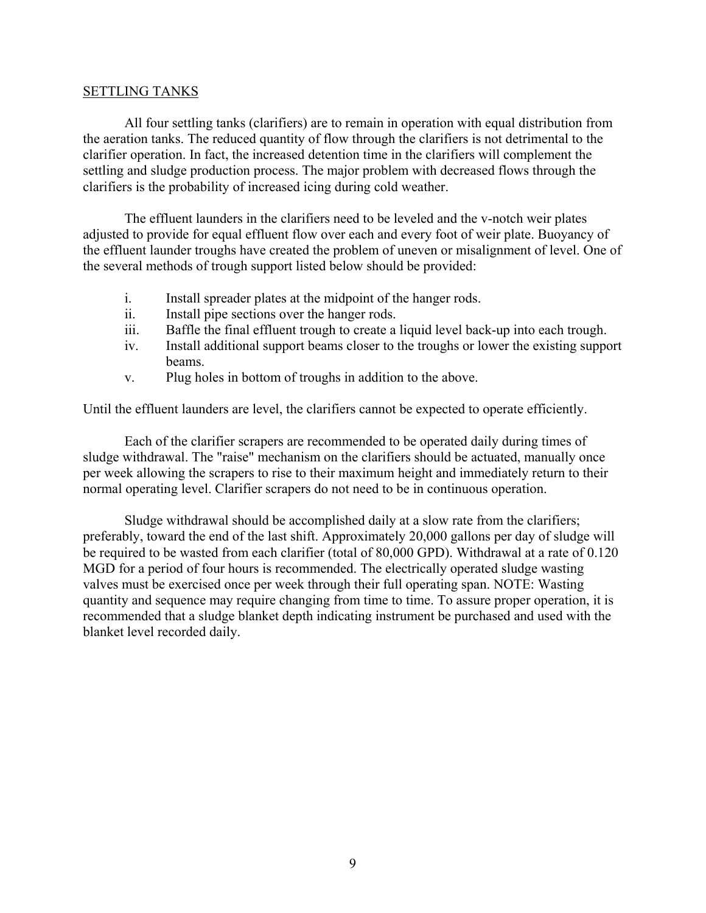### SETTLING TANKS

All four settling tanks (clarifiers) are to remain in operation with equal distribution from the aeration tanks. The reduced quantity of flow through the clarifiers is not detrimental to the clarifier operation. In fact, the increased detention time in the clarifiers will complement the settling and sludge production process. The major problem with decreased flows through the clarifiers is the probability of increased icing during cold weather.

The effluent launders in the clarifiers need to be leveled and the v-notch weir plates adjusted to provide for equal effluent flow over each and every foot of weir plate. Buoyancy of the effluent launder troughs have created the problem of uneven or misalignment of level. One of the several methods of trough support listed below should be provided:

- i. Install spreader plates at the midpoint of the hanger rods.
- ii. Install pipe sections over the hanger rods.
- iii. Baffle the final effluent trough to create a liquid level back-up into each trough.
- iv. Install additional support beams closer to the troughs or lower the existing support beams.
- v. Plug holes in bottom of troughs in addition to the above.

Until the effluent launders are level, the clarifiers cannot be expected to operate efficiently.

Each of the clarifier scrapers are recommended to be operated daily during times of sludge withdrawal. The "raise" mechanism on the clarifiers should be actuated, manually once per week allowing the scrapers to rise to their maximum height and immediately return to their normal operating level. Clarifier scrapers do not need to be in continuous operation.

Sludge withdrawal should be accomplished daily at a slow rate from the clarifiers; preferably, toward the end of the last shift. Approximately 20,000 gallons per day of sludge will be required to be wasted from each clarifier (total of 80,000 GPD). Withdrawal at a rate of 0.120 MGD for a period of four hours is recommended. The electrically operated sludge wasting valves must be exercised once per week through their full operating span. NOTE: Wasting quantity and sequence may require changing from time to time. To assure proper operation, it is recommended that a sludge blanket depth indicating instrument be purchased and used with the blanket level recorded daily.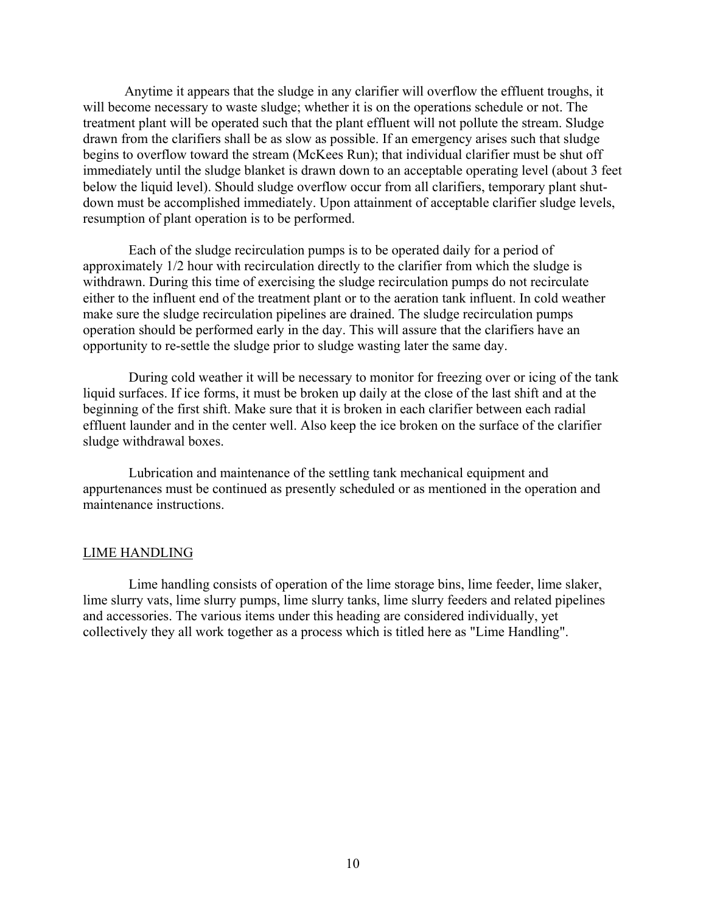Anytime it appears that the sludge in any clarifier will overflow the effluent troughs, it will become necessary to waste sludge; whether it is on the operations schedule or not. The treatment plant will be operated such that the plant effluent will not pollute the stream. Sludge drawn from the clarifiers shall be as slow as possible. If an emergency arises such that sludge begins to overflow toward the stream (McKees Run); that individual clarifier must be shut off immediately until the sludge blanket is drawn down to an acceptable operating level (about 3 feet below the liquid level). Should sludge overflow occur from all clarifiers, temporary plant shutdown must be accomplished immediately. Upon attainment of acceptable clarifier sludge levels, resumption of plant operation is to be performed.

Each of the sludge recirculation pumps is to be operated daily for a period of approximately 1/2 hour with recirculation directly to the clarifier from which the sludge is withdrawn. During this time of exercising the sludge recirculation pumps do not recirculate either to the influent end of the treatment plant or to the aeration tank influent. In cold weather make sure the sludge recirculation pipelines are drained. The sludge recirculation pumps operation should be performed early in the day. This will assure that the clarifiers have an opportunity to re-settle the sludge prior to sludge wasting later the same day.

During cold weather it will be necessary to monitor for freezing over or icing of the tank liquid surfaces. If ice forms, it must be broken up daily at the close of the last shift and at the beginning of the first shift. Make sure that it is broken in each clarifier between each radial effluent launder and in the center well. Also keep the ice broken on the surface of the clarifier sludge withdrawal boxes.

Lubrication and maintenance of the settling tank mechanical equipment and appurtenances must be continued as presently scheduled or as mentioned in the operation and maintenance instructions.

#### LIME HANDLING

Lime handling consists of operation of the lime storage bins, lime feeder, lime slaker, lime slurry vats, lime slurry pumps, lime slurry tanks, lime slurry feeders and related pipelines and accessories. The various items under this heading are considered individually, yet collectively they all work together as a process which is titled here as "Lime Handling".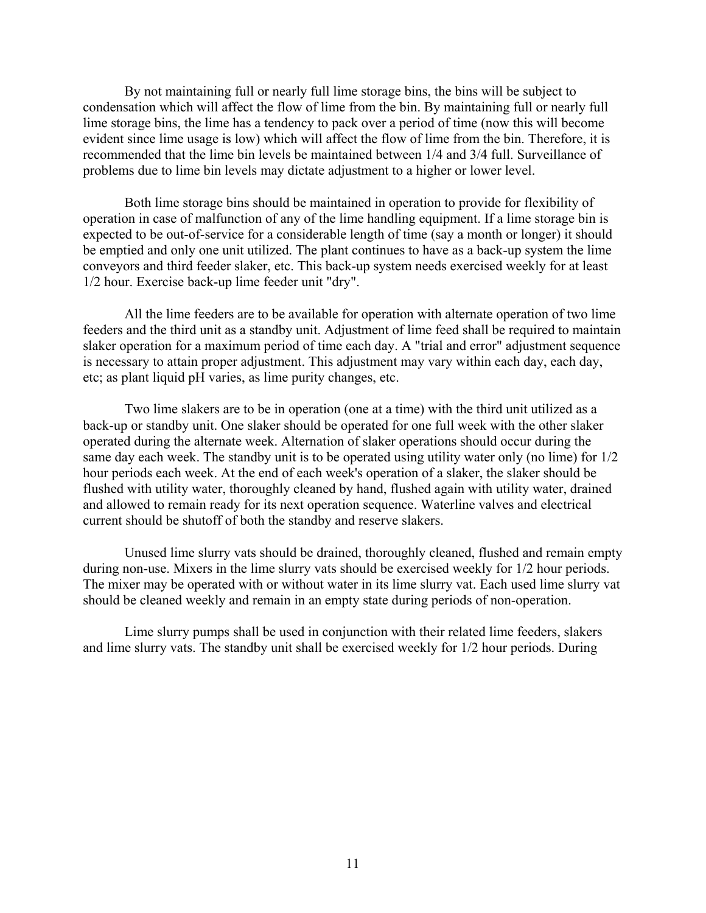By not maintaining full or nearly full lime storage bins, the bins will be subject to condensation which will affect the flow of lime from the bin. By maintaining full or nearly full lime storage bins, the lime has a tendency to pack over a period of time (now this will become evident since lime usage is low) which will affect the flow of lime from the bin. Therefore, it is recommended that the lime bin levels be maintained between 1/4 and 3/4 full. Surveillance of problems due to lime bin levels may dictate adjustment to a higher or lower level.

Both lime storage bins should be maintained in operation to provide for flexibility of operation in case of malfunction of any of the lime handling equipment. If a lime storage bin is expected to be out-of-service for a considerable length of time (say a month or longer) it should be emptied and only one unit utilized. The plant continues to have as a back-up system the lime conveyors and third feeder slaker, etc. This back-up system needs exercised weekly for at least 1/2 hour. Exercise back-up lime feeder unit "dry".

All the lime feeders are to be available for operation with alternate operation of two lime feeders and the third unit as a standby unit. Adjustment of lime feed shall be required to maintain slaker operation for a maximum period of time each day. A "trial and error" adjustment sequence is necessary to attain proper adjustment. This adjustment may vary within each day, each day, etc; as plant liquid pH varies, as lime purity changes, etc.

Two lime slakers are to be in operation (one at a time) with the third unit utilized as a back-up or standby unit. One slaker should be operated for one full week with the other slaker operated during the alternate week. Alternation of slaker operations should occur during the same day each week. The standby unit is to be operated using utility water only (no lime) for 1/2 hour periods each week. At the end of each week's operation of a slaker, the slaker should be flushed with utility water, thoroughly cleaned by hand, flushed again with utility water, drained and allowed to remain ready for its next operation sequence. Waterline valves and electrical current should be shutoff of both the standby and reserve slakers.

Unused lime slurry vats should be drained, thoroughly cleaned, flushed and remain empty during non-use. Mixers in the lime slurry vats should be exercised weekly for 1/2 hour periods. The mixer may be operated with or without water in its lime slurry vat. Each used lime slurry vat should be cleaned weekly and remain in an empty state during periods of non-operation.

Lime slurry pumps shall be used in conjunction with their related lime feeders, slakers and lime slurry vats. The standby unit shall be exercised weekly for 1/2 hour periods. During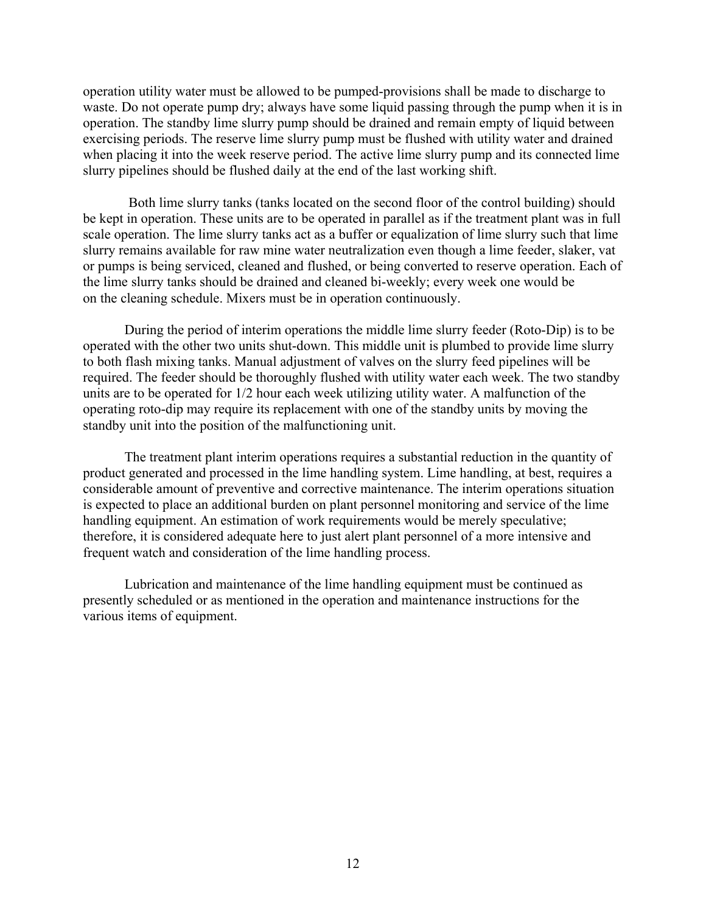operation utility water must be allowed to be pumped-provisions shall be made to discharge to waste. Do not operate pump dry; always have some liquid passing through the pump when it is in operation. The standby lime slurry pump should be drained and remain empty of liquid between exercising periods. The reserve lime slurry pump must be flushed with utility water and drained when placing it into the week reserve period. The active lime slurry pump and its connected lime slurry pipelines should be flushed daily at the end of the last working shift.

Both lime slurry tanks (tanks located on the second floor of the control building) should be kept in operation. These units are to be operated in parallel as if the treatment plant was in full scale operation. The lime slurry tanks act as a buffer or equalization of lime slurry such that lime slurry remains available for raw mine water neutralization even though a lime feeder, slaker, vat or pumps is being serviced, cleaned and flushed, or being converted to reserve operation. Each of the lime slurry tanks should be drained and cleaned bi-weekly; every week one would be on the cleaning schedule. Mixers must be in operation continuously.

During the period of interim operations the middle lime slurry feeder (Roto-Dip) is to be operated with the other two units shut-down. This middle unit is plumbed to provide lime slurry to both flash mixing tanks. Manual adjustment of valves on the slurry feed pipelines will be required. The feeder should be thoroughly flushed with utility water each week. The two standby units are to be operated for 1/2 hour each week utilizing utility water. A malfunction of the operating roto-dip may require its replacement with one of the standby units by moving the standby unit into the position of the malfunctioning unit.

The treatment plant interim operations requires a substantial reduction in the quantity of product generated and processed in the lime handling system. Lime handling, at best, requires a considerable amount of preventive and corrective maintenance. The interim operations situation is expected to place an additional burden on plant personnel monitoring and service of the lime handling equipment. An estimation of work requirements would be merely speculative; therefore, it is considered adequate here to just alert plant personnel of a more intensive and frequent watch and consideration of the lime handling process.

Lubrication and maintenance of the lime handling equipment must be continued as presently scheduled or as mentioned in the operation and maintenance instructions for the various items of equipment.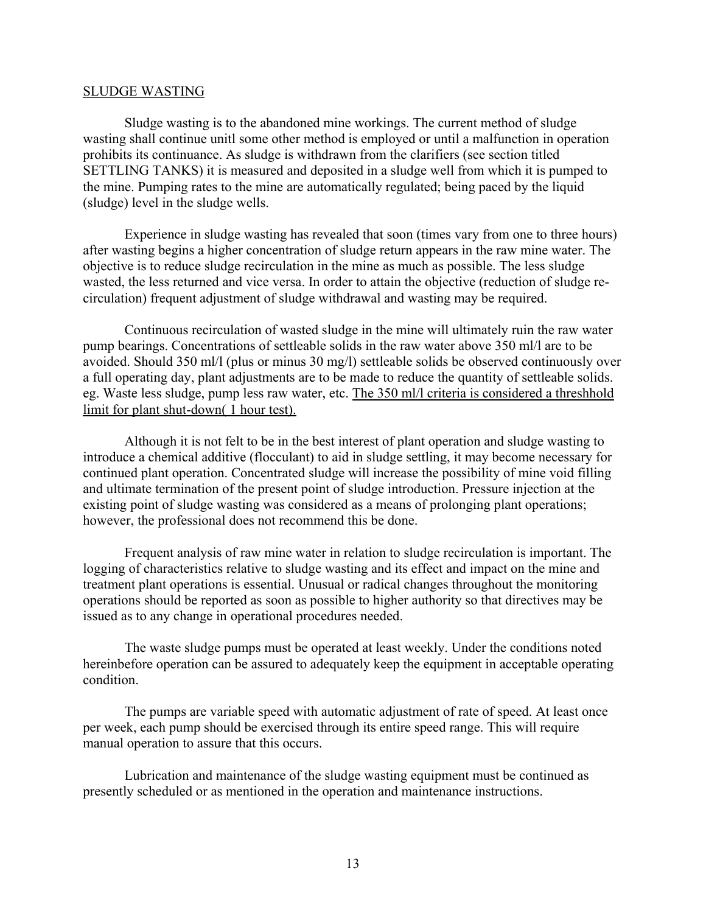#### SLUDGE WASTING

Sludge wasting is to the abandoned mine workings. The current method of sludge wasting shall continue unitl some other method is employed or until a malfunction in operation prohibits its continuance. As sludge is withdrawn from the clarifiers (see section titled SETTLING TANKS) it is measured and deposited in a sludge well from which it is pumped to the mine. Pumping rates to the mine are automatically regulated; being paced by the liquid (sludge) level in the sludge wells.

Experience in sludge wasting has revealed that soon (times vary from one to three hours) after wasting begins a higher concentration of sludge return appears in the raw mine water. The objective is to reduce sludge recirculation in the mine as much as possible. The less sludge wasted, the less returned and vice versa. In order to attain the objective (reduction of sludge recirculation) frequent adjustment of sludge withdrawal and wasting may be required.

Continuous recirculation of wasted sludge in the mine will ultimately ruin the raw water pump bearings. Concentrations of settleable solids in the raw water above 350 ml/l are to be avoided. Should 350 ml/l (plus or minus 30 mg/l) settleable solids be observed continuously over a full operating day, plant adjustments are to be made to reduce the quantity of settleable solids. eg. Waste less sludge, pump less raw water, etc. The 350 ml/l criteria is considered a threshhold limit for plant shut-down( 1 hour test).

Although it is not felt to be in the best interest of plant operation and sludge wasting to introduce a chemical additive (flocculant) to aid in sludge settling, it may become necessary for continued plant operation. Concentrated sludge will increase the possibility of mine void filling and ultimate termination of the present point of sludge introduction. Pressure injection at the existing point of sludge wasting was considered as a means of prolonging plant operations; however, the professional does not recommend this be done.

Frequent analysis of raw mine water in relation to sludge recirculation is important. The logging of characteristics relative to sludge wasting and its effect and impact on the mine and treatment plant operations is essential. Unusual or radical changes throughout the monitoring operations should be reported as soon as possible to higher authority so that directives may be issued as to any change in operational procedures needed.

The waste sludge pumps must be operated at least weekly. Under the conditions noted hereinbefore operation can be assured to adequately keep the equipment in acceptable operating condition.

The pumps are variable speed with automatic adjustment of rate of speed. At least once per week, each pump should be exercised through its entire speed range. This will require manual operation to assure that this occurs.

Lubrication and maintenance of the sludge wasting equipment must be continued as presently scheduled or as mentioned in the operation and maintenance instructions.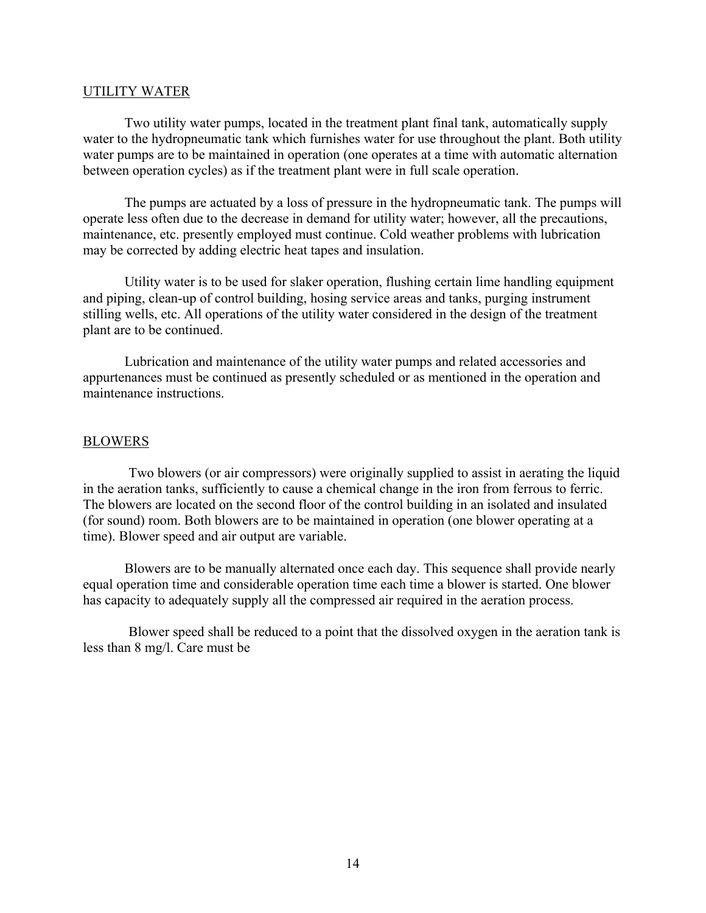#### UTILITY WATER

Two utility water pumps, located in the treatment plant final tank, automatically supply water to the hydropneumatic tank which furnishes water for use throughout the plant. Both utility water pumps are to be maintained in operation (one operates at a time with automatic alternation between operation cycles) as if the treatment plant were in full scale operation.

The pumps are actuated by a loss of pressure in the hydropneumatic tank. The pumps will operate less often due to the decrease in demand for utility water; however, all the precautions, maintenance, etc. presently employed must continue. Cold weather problems with lubrication may be corrected by adding electric heat tapes and insulation.

Utility water is to be used for slaker operation, flushing certain lime handling equipment and piping, clean-up of control building, hosing service areas and tanks, purging instrument stilling wells, etc. All operations of the utility water considered in the design of the treatment plant are to be continued.

Lubrication and maintenance of the utility water pumps and related accessories and appurtenances must be continued as presently scheduled or as mentioned in the operation and maintenance instructions.

## **BLOWERS**

Two blowers (or air compressors) were originally supplied to assist in aerating the liquid in the aeration tanks, sufficiently to cause a chemical change in the iron from ferrous to ferric. The blowers are located on the second floor of the control building in an isolated and insulated (for sound) room. Both blowers are to be maintained in operation (one blower operating at a time). Blower speed and air output are variable.

Blowers are to be manually alternated once each day. This sequence shall provide nearly equal operation time and considerable operation time each time a blower is started. One blower has capacity to adequately supply all the compressed air required in the aeration process.

Blower speed shall be reduced to a point that the dissolved oxygen in the aeration tank is less than 8 mg/l. Care must be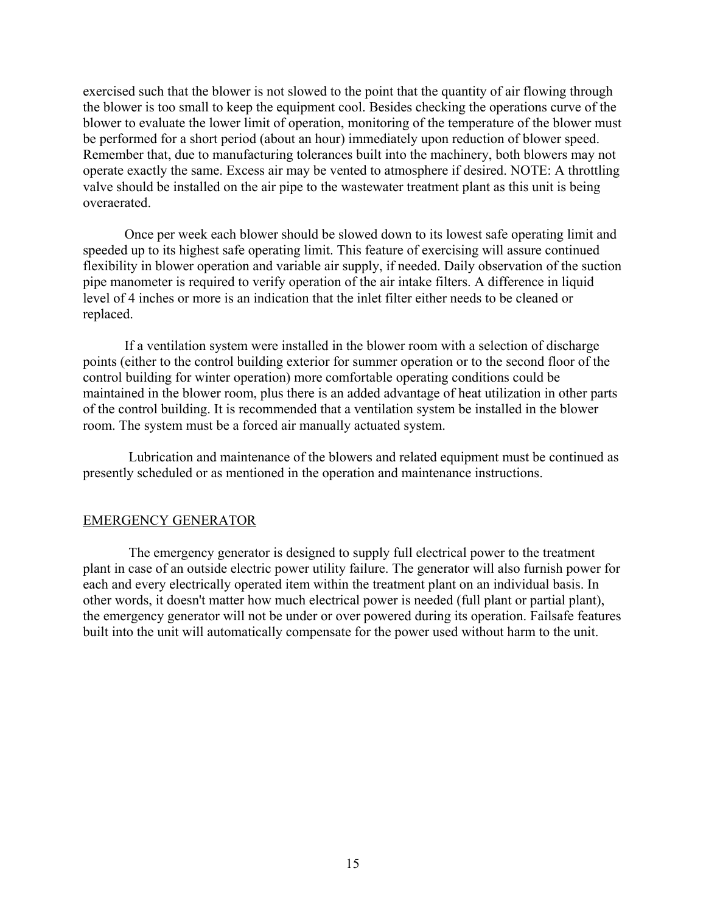exercised such that the blower is not slowed to the point that the quantity of air flowing through the blower is too small to keep the equipment cool. Besides checking the operations curve of the blower to evaluate the lower limit of operation, monitoring of the temperature of the blower must be performed for a short period (about an hour) immediately upon reduction of blower speed. Remember that, due to manufacturing tolerances built into the machinery, both blowers may not operate exactly the same. Excess air may be vented to atmosphere if desired. NOTE: A throttling valve should be installed on the air pipe to the wastewater treatment plant as this unit is being overaerated.

Once per week each blower should be slowed down to its lowest safe operating limit and speeded up to its highest safe operating limit. This feature of exercising will assure continued flexibility in blower operation and variable air supply, if needed. Daily observation of the suction pipe manometer is required to verify operation of the air intake filters. A difference in liquid level of 4 inches or more is an indication that the inlet filter either needs to be cleaned or replaced.

If a ventilation system were installed in the blower room with a selection of discharge points (either to the control building exterior for summer operation or to the second floor of the control building for winter operation) more comfortable operating conditions could be maintained in the blower room, plus there is an added advantage of heat utilization in other parts of the control building. It is recommended that a ventilation system be installed in the blower room. The system must be a forced air manually actuated system.

Lubrication and maintenance of the blowers and related equipment must be continued as presently scheduled or as mentioned in the operation and maintenance instructions.

## EMERGENCY GENERATOR

The emergency generator is designed to supply full electrical power to the treatment plant in case of an outside electric power utility failure. The generator will also furnish power for each and every electrically operated item within the treatment plant on an individual basis. In other words, it doesn't matter how much electrical power is needed (full plant or partial plant), the emergency generator will not be under or over powered during its operation. Failsafe features built into the unit will automatically compensate for the power used without harm to the unit.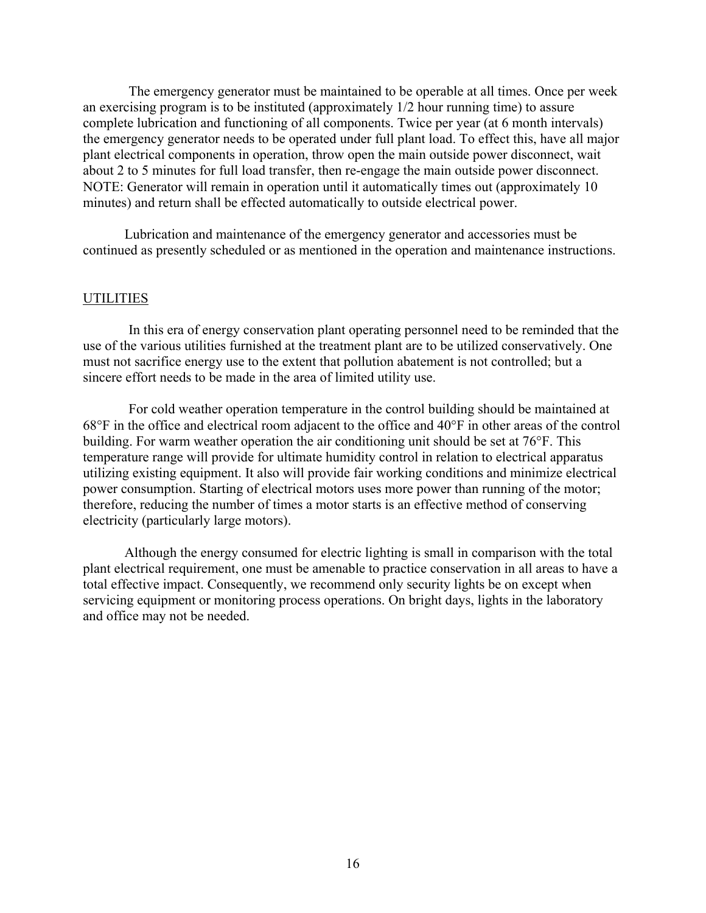The emergency generator must be maintained to be operable at all times. Once per week an exercising program is to be instituted (approximately 1/2 hour running time) to assure complete lubrication and functioning of all components. Twice per year (at 6 month intervals) the emergency generator needs to be operated under full plant load. To effect this, have all major plant electrical components in operation, throw open the main outside power disconnect, wait about 2 to 5 minutes for full load transfer, then re-engage the main outside power disconnect. NOTE: Generator will remain in operation until it automatically times out (approximately 10 minutes) and return shall be effected automatically to outside electrical power.

Lubrication and maintenance of the emergency generator and accessories must be continued as presently scheduled or as mentioned in the operation and maintenance instructions.

## **UTILITIES**

In this era of energy conservation plant operating personnel need to be reminded that the use of the various utilities furnished at the treatment plant are to be utilized conservatively. One must not sacrifice energy use to the extent that pollution abatement is not controlled; but a sincere effort needs to be made in the area of limited utility use.

For cold weather operation temperature in the control building should be maintained at 68°F in the office and electrical room adjacent to the office and 40°F in other areas of the control building. For warm weather operation the air conditioning unit should be set at 76°F. This temperature range will provide for ultimate humidity control in relation to electrical apparatus utilizing existing equipment. It also will provide fair working conditions and minimize electrical power consumption. Starting of electrical motors uses more power than running of the motor; therefore, reducing the number of times a motor starts is an effective method of conserving electricity (particularly large motors).

Although the energy consumed for electric lighting is small in comparison with the total plant electrical requirement, one must be amenable to practice conservation in all areas to have a total effective impact. Consequently, we recommend only security lights be on except when servicing equipment or monitoring process operations. On bright days, lights in the laboratory and office may not be needed.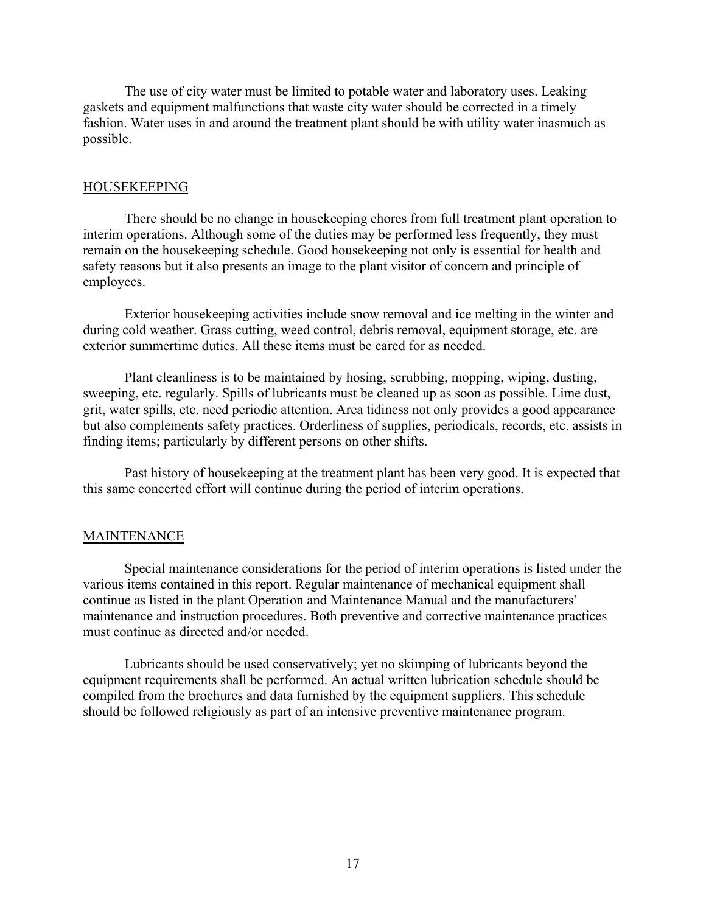The use of city water must be limited to potable water and laboratory uses. Leaking gaskets and equipment malfunctions that waste city water should be corrected in a timely fashion. Water uses in and around the treatment plant should be with utility water inasmuch as possible.

### HOUSEKEEPING

There should be no change in housekeeping chores from full treatment plant operation to interim operations. Although some of the duties may be performed less frequently, they must remain on the housekeeping schedule. Good housekeeping not only is essential for health and safety reasons but it also presents an image to the plant visitor of concern and principle of employees.

Exterior housekeeping activities include snow removal and ice melting in the winter and during cold weather. Grass cutting, weed control, debris removal, equipment storage, etc. are exterior summertime duties. All these items must be cared for as needed.

Plant cleanliness is to be maintained by hosing, scrubbing, mopping, wiping, dusting, sweeping, etc. regularly. Spills of lubricants must be cleaned up as soon as possible. Lime dust, grit, water spills, etc. need periodic attention. Area tidiness not only provides a good appearance but also complements safety practices. Orderliness of supplies, periodicals, records, etc. assists in finding items; particularly by different persons on other shifts.

Past history of housekeeping at the treatment plant has been very good. It is expected that this same concerted effort will continue during the period of interim operations.

#### **MAINTENANCE**

Special maintenance considerations for the period of interim operations is listed under the various items contained in this report. Regular maintenance of mechanical equipment shall continue as listed in the plant Operation and Maintenance Manual and the manufacturers' maintenance and instruction procedures. Both preventive and corrective maintenance practices must continue as directed and/or needed.

Lubricants should be used conservatively; yet no skimping of lubricants beyond the equipment requirements shall be performed. An actual written lubrication schedule should be compiled from the brochures and data furnished by the equipment suppliers. This schedule should be followed religiously as part of an intensive preventive maintenance program.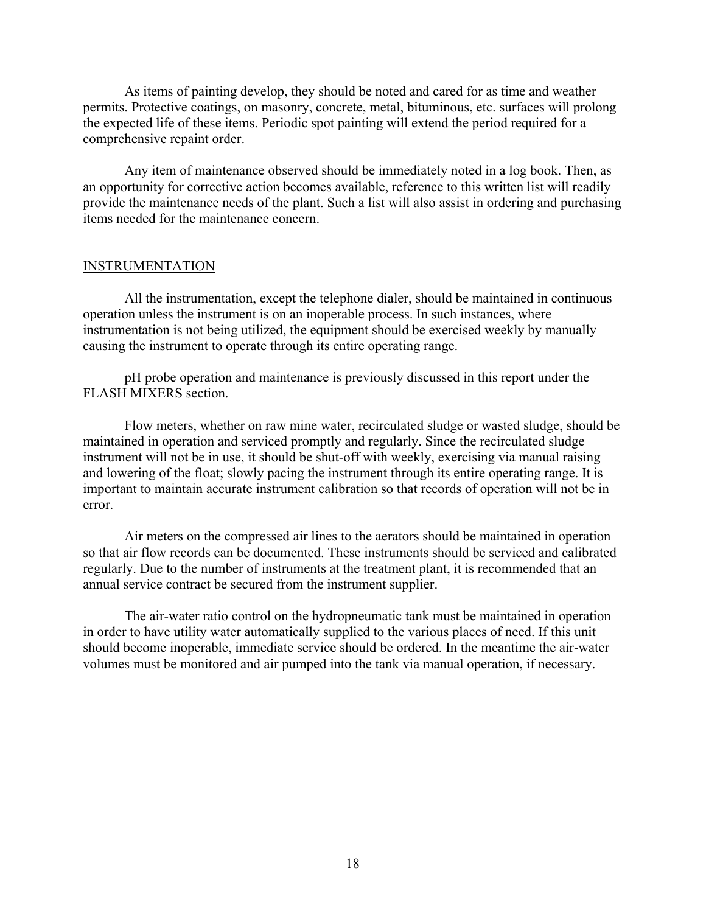As items of painting develop, they should be noted and cared for as time and weather permits. Protective coatings, on masonry, concrete, metal, bituminous, etc. surfaces will prolong the expected life of these items. Periodic spot painting will extend the period required for a comprehensive repaint order.

Any item of maintenance observed should be immediately noted in a log book. Then, as an opportunity for corrective action becomes available, reference to this written list will readily provide the maintenance needs of the plant. Such a list will also assist in ordering and purchasing items needed for the maintenance concern.

## INSTRUMENTATION

All the instrumentation, except the telephone dialer, should be maintained in continuous operation unless the instrument is on an inoperable process. In such instances, where instrumentation is not being utilized, the equipment should be exercised weekly by manually causing the instrument to operate through its entire operating range.

pH probe operation and maintenance is previously discussed in this report under the FLASH MIXERS section.

Flow meters, whether on raw mine water, recirculated sludge or wasted sludge, should be maintained in operation and serviced promptly and regularly. Since the recirculated sludge instrument will not be in use, it should be shut-off with weekly, exercising via manual raising and lowering of the float; slowly pacing the instrument through its entire operating range. It is important to maintain accurate instrument calibration so that records of operation will not be in error.

Air meters on the compressed air lines to the aerators should be maintained in operation so that air flow records can be documented. These instruments should be serviced and calibrated regularly. Due to the number of instruments at the treatment plant, it is recommended that an annual service contract be secured from the instrument supplier.

The air-water ratio control on the hydropneumatic tank must be maintained in operation in order to have utility water automatically supplied to the various places of need. If this unit should become inoperable, immediate service should be ordered. In the meantime the air-water volumes must be monitored and air pumped into the tank via manual operation, if necessary.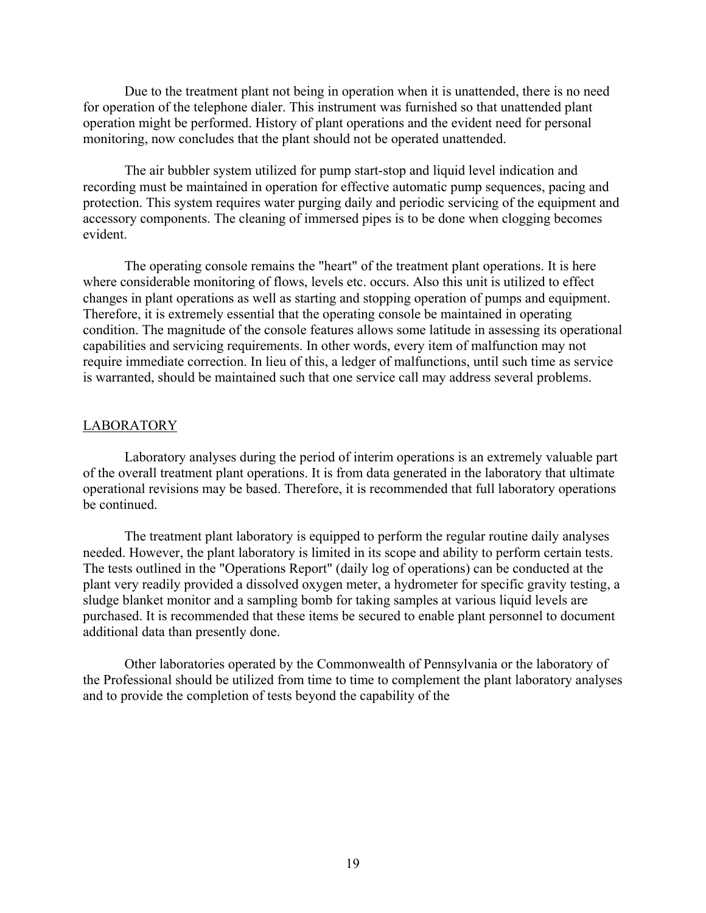Due to the treatment plant not being in operation when it is unattended, there is no need for operation of the telephone dialer. This instrument was furnished so that unattended plant operation might be performed. History of plant operations and the evident need for personal monitoring, now concludes that the plant should not be operated unattended.

The air bubbler system utilized for pump start-stop and liquid level indication and recording must be maintained in operation for effective automatic pump sequences, pacing and protection. This system requires water purging daily and periodic servicing of the equipment and accessory components. The cleaning of immersed pipes is to be done when clogging becomes evident.

The operating console remains the "heart" of the treatment plant operations. It is here where considerable monitoring of flows, levels etc. occurs. Also this unit is utilized to effect changes in plant operations as well as starting and stopping operation of pumps and equipment. Therefore, it is extremely essential that the operating console be maintained in operating condition. The magnitude of the console features allows some latitude in assessing its operational capabilities and servicing requirements. In other words, every item of malfunction may not require immediate correction. In lieu of this, a ledger of malfunctions, until such time as service is warranted, should be maintained such that one service call may address several problems.

#### LABORATORY

Laboratory analyses during the period of interim operations is an extremely valuable part of the overall treatment plant operations. It is from data generated in the laboratory that ultimate operational revisions may be based. Therefore, it is recommended that full laboratory operations be continued.

The treatment plant laboratory is equipped to perform the regular routine daily analyses needed. However, the plant laboratory is limited in its scope and ability to perform certain tests. The tests outlined in the "Operations Report" (daily log of operations) can be conducted at the plant very readily provided a dissolved oxygen meter, a hydrometer for specific gravity testing, a sludge blanket monitor and a sampling bomb for taking samples at various liquid levels are purchased. It is recommended that these items be secured to enable plant personnel to document additional data than presently done.

Other laboratories operated by the Commonwealth of Pennsylvania or the laboratory of the Professional should be utilized from time to time to complement the plant laboratory analyses and to provide the completion of tests beyond the capability of the